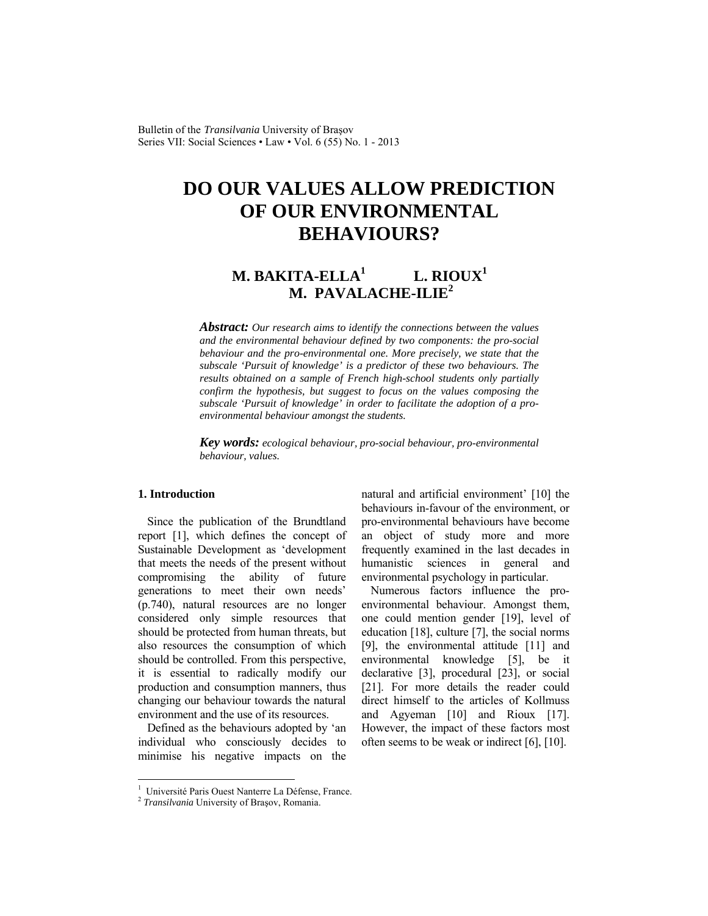Bulletin of the *Transilvania* University of Braşov Series VII: Social Sciences • Law • Vol. 6 (55) No. 1 - 2013

# **DO OUR VALUES ALLOW PREDICTION OF OUR ENVIRONMENTAL BEHAVIOURS?**

#### **M. BAKITA-ELLA1 L. RIOUX1 M. PAVALACHE-ILIE<sup>2</sup>**

*Abstract: Our research aims to identify the connections between the values and the environmental behaviour defined by two components: the pro-social behaviour and the pro-environmental one. More precisely, we state that the subscale 'Pursuit of knowledge' is a predictor of these two behaviours. The results obtained on a sample of French high-school students only partially confirm the hypothesis, but suggest to focus on the values composing the subscale 'Pursuit of knowledge' in order to facilitate the adoption of a proenvironmental behaviour amongst the students.* 

*Key words: ecological behaviour, pro-social behaviour, pro-environmental behaviour, values.*

# **1. Introduction**

Since the publication of the Brundtland report [1], which defines the concept of Sustainable Development as 'development that meets the needs of the present without compromising the ability of future generations to meet their own needs' (p.740), natural resources are no longer considered only simple resources that should be protected from human threats, but also resources the consumption of which should be controlled. From this perspective, it is essential to radically modify our production and consumption manners, thus changing our behaviour towards the natural environment and the use of its resources.

Defined as the behaviours adopted by 'an individual who consciously decides to minimise his negative impacts on the natural and artificial environment' [10] the behaviours in-favour of the environment, or pro-environmental behaviours have become an object of study more and more frequently examined in the last decades in humanistic sciences in general and environmental psychology in particular.

Numerous factors influence the proenvironmental behaviour. Amongst them, one could mention gender [19], level of education [18], culture [7], the social norms [9], the environmental attitude [11] and environmental knowledge [5], be it declarative [3], procedural [23], or social [21]. For more details the reader could direct himself to the articles of Kollmuss and Agyeman [10] and Rioux [17]. However, the impact of these factors most often seems to be weak or indirect [6], [10].

 1 Université Paris Ouest Nanterre La Défense, France.

<sup>2</sup> *Transilvania* University of Braşov, Romania.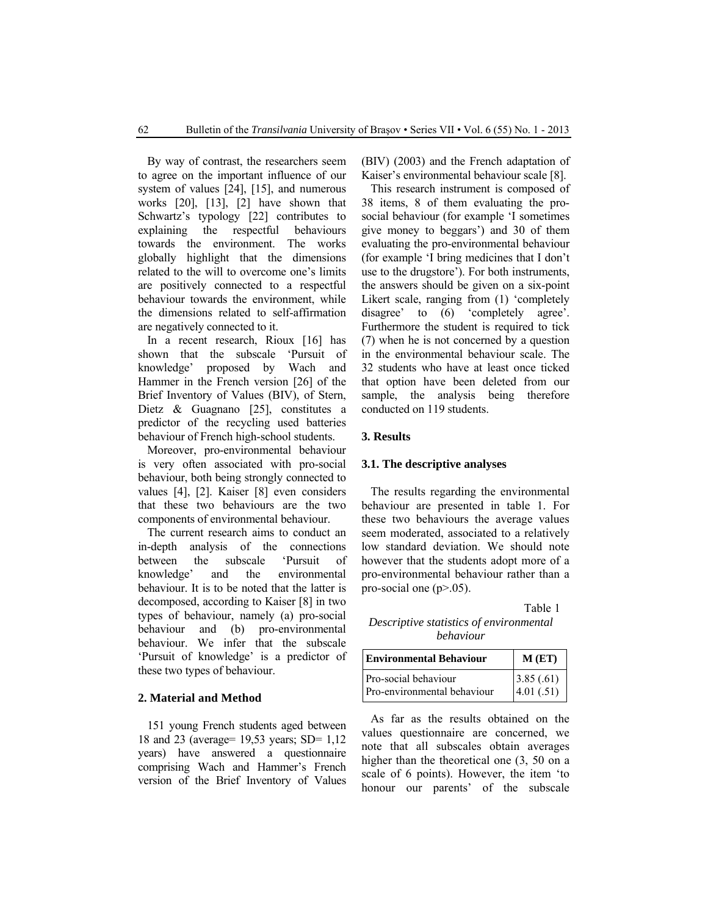By way of contrast, the researchers seem to agree on the important influence of our system of values [24], [15], and numerous works [20], [13], [2] have shown that Schwartz's typology [22] contributes to explaining the respectful behaviours towards the environment. The works globally highlight that the dimensions related to the will to overcome one's limits are positively connected to a respectful behaviour towards the environment, while the dimensions related to self-affirmation are negatively connected to it.

In a recent research, Rioux [16] has shown that the subscale 'Pursuit of knowledge' proposed by Wach and Hammer in the French version [26] of the Brief Inventory of Values (BIV), of Stern, Dietz & Guagnano [25], constitutes a predictor of the recycling used batteries behaviour of French high-school students.

Moreover, pro-environmental behaviour is very often associated with pro-social behaviour, both being strongly connected to values [4], [2]. Kaiser [8] even considers that these two behaviours are the two components of environmental behaviour.

The current research aims to conduct an in-depth analysis of the connections between the subscale 'Pursuit of knowledge' and the environmental behaviour. It is to be noted that the latter is decomposed, according to Kaiser [8] in two types of behaviour, namely (a) pro-social behaviour and (b) pro-environmental behaviour. We infer that the subscale 'Pursuit of knowledge' is a predictor of these two types of behaviour.

#### **2. Material and Method**

151 young French students aged between 18 and 23 (average= 19,53 years; SD= 1,12 years) have answered a questionnaire comprising Wach and Hammer's French version of the Brief Inventory of Values (BIV) (2003) and the French adaptation of Kaiser's environmental behaviour scale [8].

This research instrument is composed of 38 items, 8 of them evaluating the prosocial behaviour (for example 'I sometimes give money to beggars') and 30 of them evaluating the pro-environmental behaviour (for example 'I bring medicines that I don't use to the drugstore'). For both instruments, the answers should be given on a six-point Likert scale, ranging from (1) 'completely disagree' to  $(6)$  'completely agree'. Furthermore the student is required to tick (7) when he is not concerned by a question in the environmental behaviour scale. The 32 students who have at least once ticked that option have been deleted from our sample, the analysis being therefore conducted on 119 students.

### **3. Results**

# **3.1. The descriptive analyses**

The results regarding the environmental behaviour are presented in table 1. For these two behaviours the average values seem moderated, associated to a relatively low standard deviation. We should note however that the students adopt more of a pro-environmental behaviour rather than a pro-social one  $(p>0.05)$ .

Table 1 *Descriptive statistics of environmental behaviour*

| Environmental Behaviour                             | M(ET)                                                        |
|-----------------------------------------------------|--------------------------------------------------------------|
| Pro-social behaviour<br>Pro-environmental behaviour | $\begin{bmatrix} 3.85 & (.61) \\ 4.01 & (.51) \end{bmatrix}$ |

As far as the results obtained on the values questionnaire are concerned, we note that all subscales obtain averages higher than the theoretical one  $(3, 50 \text{ on a})$ scale of 6 points). However, the item 'to honour our parents' of the subscale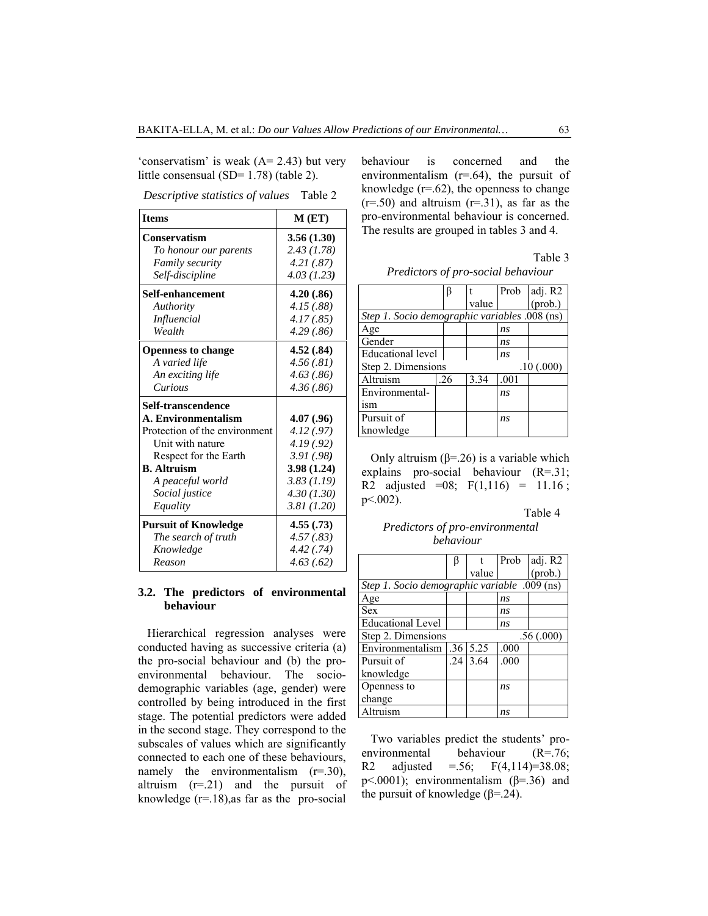'conservatism' is weak (A= 2.43) but very little consensual (SD= 1.78) (table 2).

*Descriptive statistics of values* Table 2

| <b>Items</b>                  | $M$ (ET)    |
|-------------------------------|-------------|
| Conservatism                  | 3.56(1.30)  |
| To honour our parents         | 2.43(1.78)  |
| <b>Family security</b>        | 4.21(.87)   |
| Self-discipline               | 4.03(1.23)  |
| Self-enhancement              | 4.20(.86)   |
| Authority                     | 4.15 (.88)  |
| Influencial                   | 4.17(.85)   |
| Wealth                        | 4.29(.86)   |
| <b>Openness to change</b>     | 4.52(.84)   |
| A varied life                 | 4.56(.81)   |
| An exciting life              | 4.63(.86)   |
| Curious                       | 4.36(.86)   |
| Self-transcendence            |             |
| A. Environmentalism           | 4.07 (.96)  |
| Protection of the environment | 4.12 (.97)  |
| Unit with nature              | 4.19(0.92)  |
| Respect for the Earth         | 3.91(0.98)  |
| <b>B.</b> Altruism            | 3.98 (1.24) |
| A peaceful world              | 3.83 (1.19) |
| Social justice                | 4.30(1.30)  |
| Equality                      | 3.81(1.20)  |
| <b>Pursuit of Knowledge</b>   | 4.55(.73)   |
| The search of truth           | 4.57(.83)   |
| Knowledge                     | 4.42(.74)   |
| Reason                        | 4.63(0.62)  |

# **3.2. The predictors of environmental behaviour**

Hierarchical regression analyses were conducted having as successive criteria (a) the pro-social behaviour and (b) the proenvironmental behaviour. The sociodemographic variables (age, gender) were controlled by being introduced in the first stage. The potential predictors were added in the second stage. They correspond to the subscales of values which are significantly connected to each one of these behaviours, namely the environmentalism  $(r=0.30)$ , altruism  $(r=0.21)$  and the pursuit of knowledge  $(r=18)$ , as far as the pro-social behaviour is concerned and the environmentalism  $(r=64)$ , the pursuit of knowledge  $(r=.62)$ , the openness to change  $(r=.50)$  and altruism  $(r=.31)$ , as far as the pro-environmental behaviour is concerned. The results are grouped in tables 3 and 4.

Table 3

|                                               | β   |       | Prob | adj. R2          |  |  |  |
|-----------------------------------------------|-----|-------|------|------------------|--|--|--|
|                                               |     | value |      | $(\text{prob.})$ |  |  |  |
| Step 1. Socio demographic variables .008 (ns) |     |       |      |                  |  |  |  |
| Age                                           |     |       | ns   |                  |  |  |  |
| Gender                                        |     |       | ns   |                  |  |  |  |
| <b>Educational level</b>                      |     |       | ns   |                  |  |  |  |
| Step 2. Dimensions<br>.10(0.000)              |     |       |      |                  |  |  |  |
| Altruism                                      | .26 | 3.34  | .001 |                  |  |  |  |
| Environmental-                                |     |       | ns   |                  |  |  |  |
| 1Sm                                           |     |       |      |                  |  |  |  |
| Pursuit of                                    |     |       | ns   |                  |  |  |  |
| knowledge                                     |     |       |      |                  |  |  |  |

Only altruism ( $β = 0.26$ ) is a variable which explains pro-social behaviour (R=.31; R2 adjusted =08;  $F(1,116) = 11.16$ ;  $p<.002$ ).

#### Table 4

*Predictors of pro-environmental behaviour*

|                                              |    |                 | Prob           | adj. R2          |  |  |  |
|----------------------------------------------|----|-----------------|----------------|------------------|--|--|--|
|                                              |    | value           |                | $(\text{prob.})$ |  |  |  |
| Step 1. Socio demographic variable .009 (ns) |    |                 |                |                  |  |  |  |
| Age                                          |    |                 | n <sub>s</sub> |                  |  |  |  |
| <b>Sex</b>                                   |    |                 | ns             |                  |  |  |  |
| <b>Educational Level</b>                     |    |                 | ns             |                  |  |  |  |
| Step 2. Dimensions<br>.56(.000)              |    |                 |                |                  |  |  |  |
| Environmentalism                             |    | $.36 \mid 5.25$ | .000           |                  |  |  |  |
| Pursuit of                                   | 24 | 3.64            | .000           |                  |  |  |  |
| knowledge                                    |    |                 |                |                  |  |  |  |
| Openness to                                  |    |                 | ns             |                  |  |  |  |
| change                                       |    |                 |                |                  |  |  |  |
| Altruism                                     |    |                 | ns             |                  |  |  |  |

Two variables predict the students' proenvironmental behaviour (R=.76; R2 adjusted  $= .56$ ; F(4,114)=38.08; p<.0001); environmentalism  $(\beta = .36)$  and the pursuit of knowledge ( $\beta$ =.24).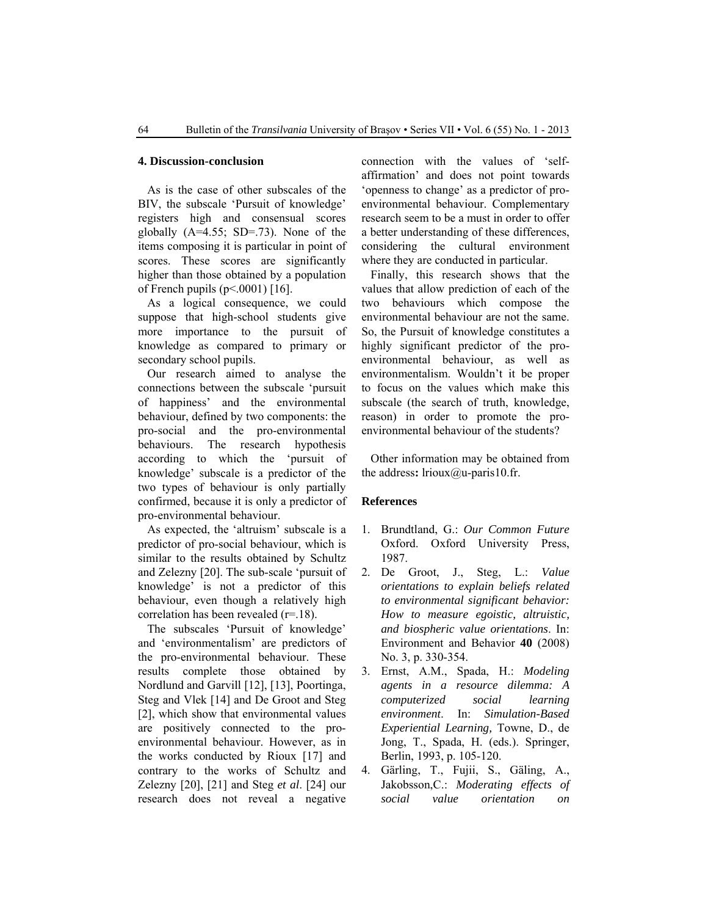### **4. Discussion-conclusion**

As is the case of other subscales of the BIV, the subscale 'Pursuit of knowledge' registers high and consensual scores globally  $(A=4.55; SD=.73)$ . None of the items composing it is particular in point of scores. These scores are significantly higher than those obtained by a population of French pupils (p<.0001) [16].

As a logical consequence, we could suppose that high-school students give more importance to the pursuit of knowledge as compared to primary or secondary school pupils.

Our research aimed to analyse the connections between the subscale 'pursuit of happiness' and the environmental behaviour, defined by two components: the pro-social and the pro-environmental behaviours. The research hypothesis according to which the 'pursuit of knowledge' subscale is a predictor of the two types of behaviour is only partially confirmed, because it is only a predictor of pro-environmental behaviour.

As expected, the 'altruism' subscale is a predictor of pro-social behaviour, which is similar to the results obtained by Schultz and Zelezny [20]. The sub-scale 'pursuit of knowledge' is not a predictor of this behaviour, even though a relatively high correlation has been revealed (r=.18).

The subscales 'Pursuit of knowledge' and 'environmentalism' are predictors of the pro-environmental behaviour. These results complete those obtained by Nordlund and Garvill [12], [13], Poortinga, Steg and Vlek [14] and De Groot and Steg [2], which show that environmental values are positively connected to the proenvironmental behaviour. However, as in the works conducted by Rioux [17] and contrary to the works of Schultz and Zelezny [20], [21] and Steg *et al*. [24] our research does not reveal a negative connection with the values of 'selfaffirmation' and does not point towards 'openness to change' as a predictor of proenvironmental behaviour. Complementary research seem to be a must in order to offer a better understanding of these differences, considering the cultural environment where they are conducted in particular.

Finally, this research shows that the values that allow prediction of each of the two behaviours which compose the environmental behaviour are not the same. So, the Pursuit of knowledge constitutes a highly significant predictor of the proenvironmental behaviour, as well as environmentalism. Wouldn't it be proper to focus on the values which make this subscale (the search of truth, knowledge, reason) in order to promote the proenvironmental behaviour of the students?

Other information may be obtained from the address**:** lrioux@u-paris10.fr.

## **References**

- 1. Brundtland, G.: *Our Common Future*  Oxford. Oxford University Press, 1987.
- 2. De Groot, J., Steg, L.: *Value orientations to explain beliefs related to environmental significant behavior: How to measure egoistic, altruistic, and biospheric value orientations*. In: Environment and Behavior **40** (2008) No. 3, p. 330-354.
- 3. Ernst, A.M., Spada, H.: *Modeling agents in a resource dilemma: A computerized social learning environment*. In: *Simulation-Based Experiential Learning,* Towne, D., de Jong, T., Spada, H. (eds.). Springer, Berlin, 1993, p. 105-120.
- 4. Gärling, T., Fujii, S., Gäling, A., Jakobsson,C.: *Moderating effects of social value orientation on*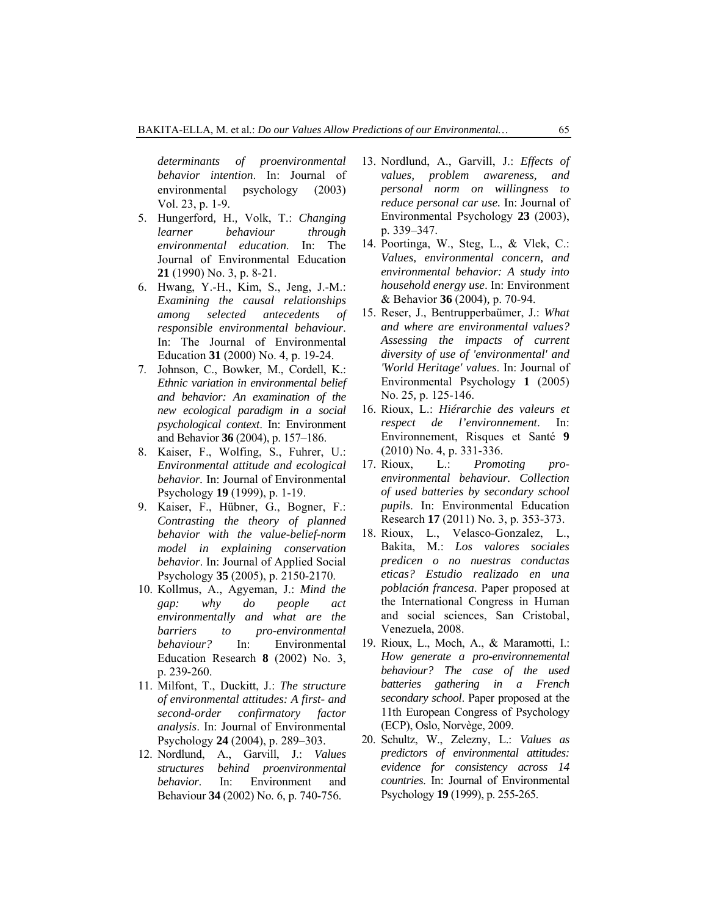*determinants of proenvironmental behavior intention*. In: Journal of environmental psychology (2003) Vol. 23, p. 1-9.

- 5. Hungerford*,* H.*,* Volk, T.: *Changing learner behaviour through environmental education*. In: The Journal of Environmental Education **21** (1990) No. 3, p. 8-21.
- 6. Hwang, Y.-H., Kim, S., Jeng, J.-M.: *Examining the causal relationships among selected antecedents of responsible environmental behaviour*. In: The Journal of Environmental Education **31** (2000) No. 4, p. 19-24.
- 7. Johnson, C., Bowker, M., Cordell, K.: *Ethnic variation in environmental belief and behavior: An examination of the new ecological paradigm in a social psychological context*. In: Environment and Behavior **36** (2004), p. 157–186.
- 8. Kaiser, F., Wolfing, S., Fuhrer, U.: *Environmental attitude and ecological behavior.* In: Journal of Environmental Psychology **19** (1999), p. 1-19.
- 9. Kaiser, F., Hübner, G., Bogner, F.: *Contrasting the theory of planned behavior with the value-belief-norm model in explaining conservation behavior*. In: Journal of Applied Social Psychology **35** (2005), p. 2150-2170.
- 10. Kollmus, A., Agyeman, J.: *Mind the gap: why do people act environmentally and what are the barriers to pro-environmental behaviour?* In: Environmental Education Research **8** (2002) No. 3, p. 239-260.
- 11. Milfont, T., Duckitt, J.: *The structure of environmental attitudes: A first- and second-order confirmatory factor analysis*. In: Journal of Environmental Psychology **24** (2004), p. 289–303.
- 12. Nordlund, A., Garvill, J.: *Values structures behind proenvironmental behavior*. In: Environment and Behaviour **34** (2002) No. 6, p. 740-756.
- 13. Nordlund, A., Garvill, J.: *Effects of values, problem awareness, and personal norm on willingness to reduce personal car use.* In: Journal of Environmental Psychology **23** (2003), p. 339–347.
- 14. Poortinga, W., Steg, L., & Vlek, C.: *Values, environmental concern, and environmental behavior: A study into household energy use*. In: Environment & Behavior **36** (2004)*,* p. 70-94.
- 15. Reser, J., Bentrupperbaümer, J.: *What and where are environmental values? Assessing the impacts of current diversity of use of 'environmental' and 'World Heritage' values*. In: Journal of Environmental Psychology **1** (2005) No. 25*,* p. 125-146.
- 16. Rioux, L.: *Hiérarchie des valeurs et respect de l'environnement*. In: Environnement, Risques et Santé **9** (2010) No. 4, p. 331-336.
- 17. Rioux, L.: *Promoting proenvironmental behaviour. Collection of used batteries by secondary school pupils*. In: Environmental Education Research **17** (2011) No. 3, p. 353-373.
- 18. Rioux, L., Velasco-Gonzalez, L., Bakita, M.: *Los valores sociales predicen o no nuestras conductas eticas? Estudio realizado en una población francesa*. Paper proposed at the International Congress in Human and social sciences, San Cristobal, Venezuela, 2008.
- 19. Rioux, L., Moch, A., & Maramotti, I.: *How generate a pro-environnemental behaviour? The case of the used batteries gathering in a French secondary school*. Paper proposed at the 11th European Congress of Psychology (ECP), Oslo, Norvège, 2009.
- 20. Schultz, W., Zelezny, L.: *Values as predictors of environmental attitudes: evidence for consistency across 14 countries*. In: Journal of Environmental Psychology **19** (1999), p. 255-265.